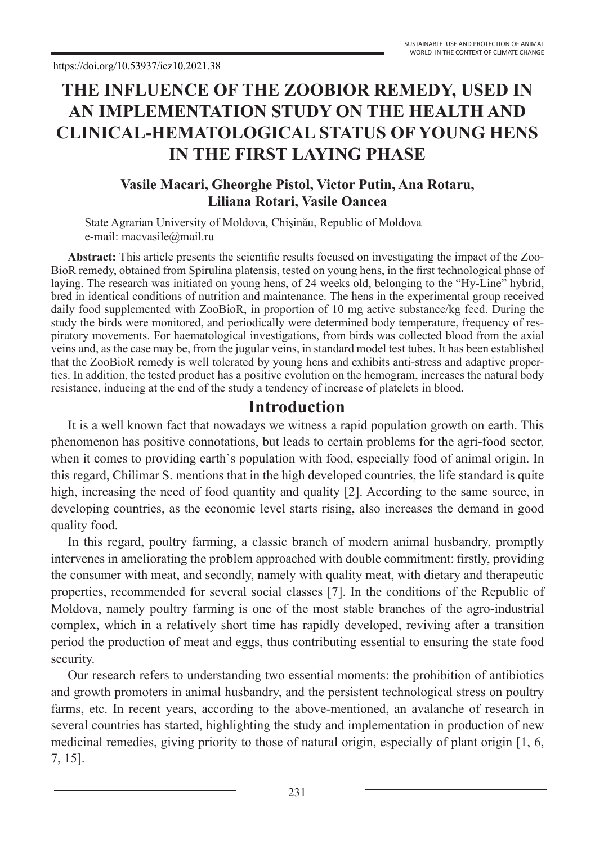# **THE INFLUENCE OF THE ZOOBIOR REMEDY, USED IN AN IMPLEMENTATION STUDY ON THE HEALTH AND CLINICAL-HEMATOLOGICAL STATUS OF YOUNG HENS IN THE FIRST LAYING PHASE**

#### **Vasile Macari, Gheorghe Pistol, Victor Putin, Ana Rotaru, Liliana Rotari, Vasile Oancea**

State Agrarian University of Moldova, Chişinău, Republic of Moldova e-mail: macvasile@mail.ru

**Abstract:** This article presents the scientific results focused on investigating the impact of the Zoo-BioR remedy, obtained from Spirulina platensis, tested on young hens, in the first technological phase of laying. The research was initiated on young hens, of 24 weeks old, belonging to the "Hy-Line" hybrid, bred in identical conditions of nutrition and maintenance. The hens in the experimental group received daily food supplemented with ZooBioR, in proportion of 10 mg active substance/kg feed. During the study the birds were monitored, and periodically were determined body temperature, frequency of respiratory movements. For haematological investigations, from birds was collected blood from the axial veins and, as the case may be, from the jugular veins, in standard model test tubes. It has been established that the ZooBioR remedy is well tolerated by young hens and exhibits anti-stress and adaptive properties. In addition, the tested product has a positive evolution on the hemogram, increases the natural body resistance, inducing at the end of the study a tendency of increase of platelets in blood.

#### **Introduction**

It is a well known fact that nowadays we witness a rapid population growth on earth. This phenomenon has positive connotations, but leads to certain problems for the agri-food sector, when it comes to providing earth`s population with food, especially food of animal origin. In this regard, Chilimar S. mentions that in the high developed countries, the life standard is quite high, increasing the need of food quantity and quality [2]. According to the same source, in developing countries, as the economic level starts rising, also increases the demand in good quality food.

In this regard, poultry farming, a classic branch of modern animal husbandry, promptly intervenes in ameliorating the problem approached with double commitment: firstly, providing the consumer with meat, and secondly, namely with quality meat, with dietary and therapeutic properties, recommended for several social classes [7]. In the conditions of the Republic of Moldova, namely poultry farming is one of the most stable branches of the agro-industrial complex, which in a relatively short time has rapidly developed, reviving after a transition period the production of meat and eggs, thus contributing essential to ensuring the state food security.

Our research refers to understanding two essential moments: the prohibition of antibiotics and growth promoters in animal husbandry, and the persistent technological stress on poultry farms, etc. In recent years, according to the above-mentioned, an avalanche of research in several countries has started, highlighting the study and implementation in production of new medicinal remedies, giving priority to those of natural origin, especially of plant origin [1, 6, 7, 15].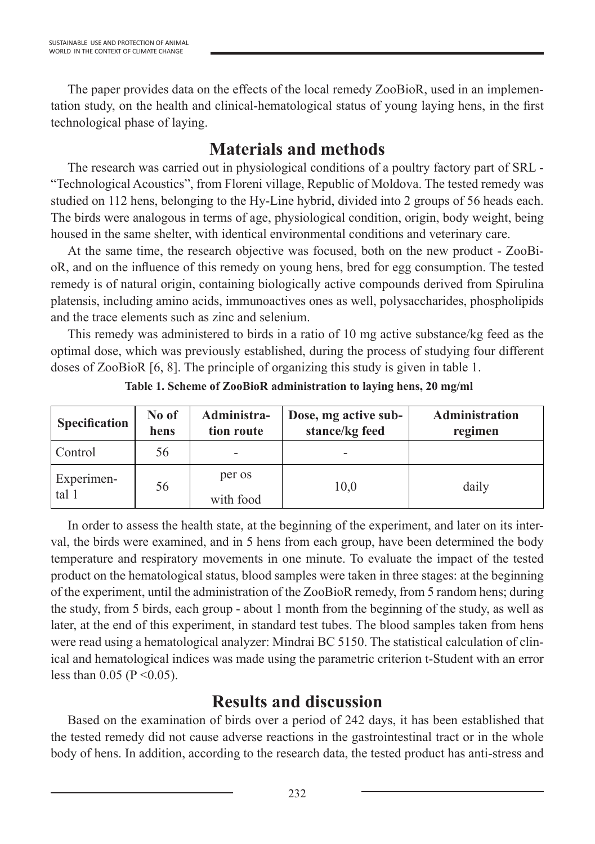The paper provides data on the effects of the local remedy ZooBioR, used in an implementation study, on the health and clinical-hematological status of young laying hens, in the first technological phase of laying.

### **Materials and methods**

The research was carried out in physiological conditions of a poultry factory part of SRL - "Technological Acoustics", from Floreni village, Republic of Moldova. The tested remedy was studied on 112 hens, belonging to the Hy-Line hybrid, divided into 2 groups of 56 heads each. The birds were analogous in terms of age, physiological condition, origin, body weight, being housed in the same shelter, with identical environmental conditions and veterinary care.

At the same time, the research objective was focused, both on the new product - ZooBioR, and on the influence of this remedy on young hens, bred for egg consumption. The tested remedy is of natural origin, containing biologically active compounds derived from Spirulina platensis, including amino acids, immunoactives ones as well, polysaccharides, phospholipids and the trace elements such as zinc and selenium.

This remedy was administered to birds in a ratio of 10 mg active substance/kg feed as the optimal dose, which was previously established, during the process of studying four different doses of ZooBioR [6, 8]. The principle of organizing this study is given in table 1.

| <b>Specification</b> | No of<br>hens | Administra-<br>tion route | Dose, mg active sub-<br>stance/kg feed | <b>Administration</b><br>regimen |
|----------------------|---------------|---------------------------|----------------------------------------|----------------------------------|
| Control              | 56            |                           | $\overline{\phantom{0}}$               |                                  |
| Experimen-<br>tal 1  | 56            | per os<br>with food       | 10,0                                   | daily                            |

**Table 1. Scheme of ZooBioR administration to laying hens, 20 mg/ml**

In order to assess the health state, at the beginning of the experiment, and later on its interval, the birds were examined, and in 5 hens from each group, have been determined the body temperature and respiratory movements in one minute. To evaluate the impact of the tested product on the hematological status, blood samples were taken in three stages: at the beginning of the experiment, until the administration of the ZooBioR remedy, from 5 random hens; during the study, from 5 birds, each group - about 1 month from the beginning of the study, as well as later, at the end of this experiment, in standard test tubes. The blood samples taken from hens were read using a hematological analyzer: Mindrai BC 5150. The statistical calculation of clinical and hematological indices was made using the parametric criterion t-Student with an error less than 0.05 ( $P \le 0.05$ ).

#### **Results and discussion**

Based on the examination of birds over a period of 242 days, it has been established that the tested remedy did not cause adverse reactions in the gastrointestinal tract or in the whole body of hens. In addition, according to the research data, the tested product has anti-stress and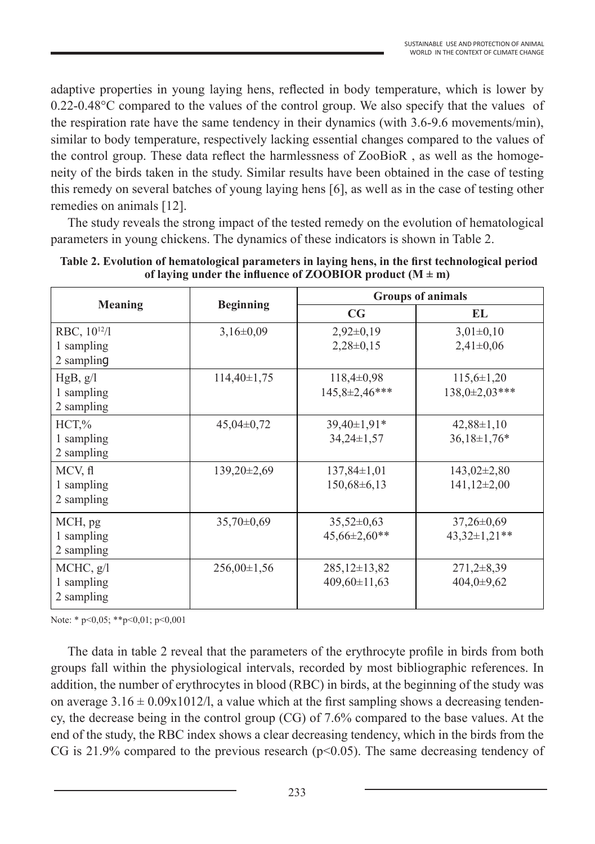adaptive properties in young laying hens, reflected in body temperature, which is lower by 0.22-0.48°C compared to the values of the control group. We also specify that the values of the respiration rate have the same tendency in their dynamics (with 3.6-9.6 movements/min), similar to body temperature, respectively lacking essential changes compared to the values of the control group. These data reflect the harmlessness of ZooBioR , as well as the homogeneity of the birds taken in the study. Similar results have been obtained in the case of testing this remedy on several batches of young laying hens [6], as well as in the case of testing other remedies on animals [12].

The study reveals the strong impact of the tested remedy on the evolution of hematological parameters in young chickens. The dynamics of these indicators is shown in Table 2.

|                                                      | <b>Beginning</b> | <b>Groups of animals</b>                |                                         |  |
|------------------------------------------------------|------------------|-----------------------------------------|-----------------------------------------|--|
| <b>Meaning</b>                                       |                  | CG                                      | EL                                      |  |
| RBC, 10 <sup>12</sup> /l<br>1 sampling<br>2 sampling | $3,16\pm0,09$    | $2,92\pm0,19$<br>$2,28\pm0,15$          | $3,01\pm0,10$<br>$2,41\pm0,06$          |  |
| HgB, g/l<br>1 sampling<br>2 sampling                 | $114,40\pm1,75$  | $118,4\pm0.98$<br>145,8±2,46***         | $115,6 \pm 1,20$<br>$138,0+2,03***$     |  |
| $HCT, \%$<br>1 sampling<br>2 sampling                | $45,04\pm0,72$   | $39,40\pm1,91*$<br>$34,24\pm1,57$       | $42,88\pm1,10$<br>$36,18 \pm 1,76*$     |  |
| MCV, fl<br>1 sampling<br>2 sampling                  | 139,20±2,69      | $137,84\pm1,01$<br>$150,68\pm6,13$      | $143,02\pm2,80$<br>$141,12\pm2,00$      |  |
| MCH, pg<br>1 sampling<br>2 sampling                  | $35,70\pm0.69$   | $35,52\pm0,63$<br>$45,66\pm2,60**$      | $37,26 \pm 0.69$<br>$43,32 \pm 1,21$ ** |  |
| MCHC, g/l<br>1 sampling<br>2 sampling                | $256,00\pm1,56$  | $285,12\pm 13,82$<br>$409,60 \pm 11,63$ | $271,2\pm8,39$<br>$404,0+9,62$          |  |

**Table 2. Evolution of hematological parameters in laying hens, in the first technological period**  of laying under the influence of ZOOBIOR product  $(M \pm m)$ 

Note: \* p<0,05; \*\*p<0,01; p<0,001

The data in table 2 reveal that the parameters of the erythrocyte profile in birds from both groups fall within the physiological intervals, recorded by most bibliographic references. In addition, the number of erythrocytes in blood (RBC) in birds, at the beginning of the study was on average  $3.16 \pm 0.09 \times 1012/l$ , a value which at the first sampling shows a decreasing tendency, the decrease being in the control group (CG) of 7.6% compared to the base values. At the end of the study, the RBC index shows a clear decreasing tendency, which in the birds from the CG is 21.9% compared to the previous research ( $p<0.05$ ). The same decreasing tendency of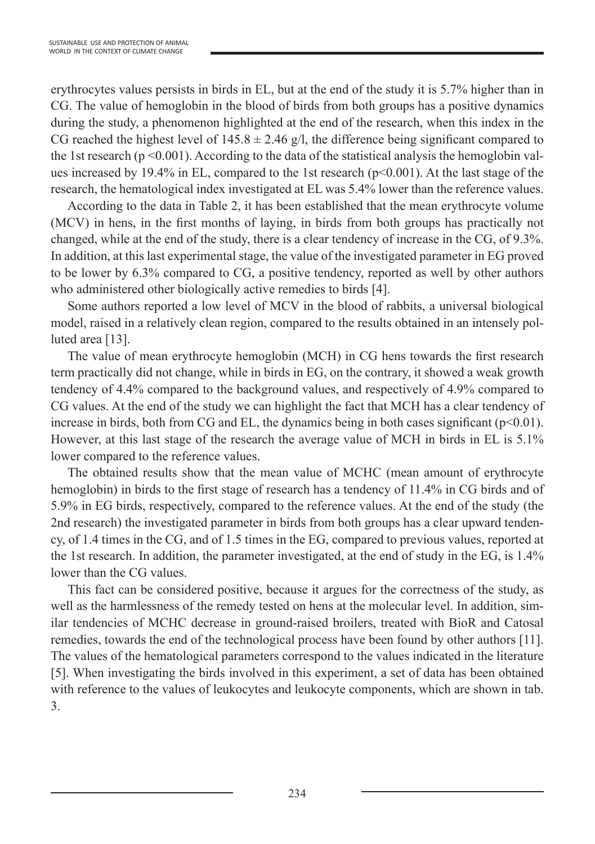erythrocytes values persists in birds in EL, but at the end of the study it is 5.7% higher than in CG. The value of hemoglobin in the blood of birds from both groups has a positive dynamics during the study, a phenomenon highlighted at the end of the research, when this index in the CG reached the highest level of  $145.8 \pm 2.46$  g/l, the difference being significant compared to the 1st research ( $p \le 0.001$ ). According to the data of the statistical analysis the hemoglobin values increased by 19.4% in EL, compared to the 1st research ( $p<0.001$ ). At the last stage of the research, the hematological index investigated at EL was 5.4% lower than the reference values.

According to the data in Table 2, it has been established that the mean erythrocyte volume (MCV) in hens, in the first months of laying, in birds from both groups has practically not changed, while at the end of the study, there is a clear tendency of increase in the CG, of 9.3%. In addition, at this last experimental stage, the value of the investigated parameter in EG proved to be lower by 6.3% compared to CG, a positive tendency, reported as well by other authors who administered other biologically active remedies to birds [4].

Some authors reported a low level of MCV in the blood of rabbits, a universal biological model, raised in a relatively clean region, compared to the results obtained in an intensely polluted area [13].

The value of mean erythrocyte hemoglobin (MCH) in CG hens towards the first research term practically did not change, while in birds in EG, on the contrary, it showed a weak growth tendency of 4.4% compared to the background values, and respectively of 4.9% compared to CG values. At the end of the study we can highlight the fact that MCH has a clear tendency of increase in birds, both from CG and EL, the dynamics being in both cases significant  $(p<0.01)$ . However, at this last stage of the research the average value of MCH in birds in EL is 5.1% lower compared to the reference values.

The obtained results show that the mean value of MCHC (mean amount of erythrocyte hemoglobin) in birds to the first stage of research has a tendency of 11.4% in CG birds and of 5.9% in EG birds, respectively, compared to the reference values. At the end of the study (the 2nd research) the investigated parameter in birds from both groups has a clear upward tendency, of 1.4 times in the CG, and of 1.5 times in the EG, compared to previous values, reported at the 1st research. In addition, the parameter investigated, at the end of study in the EG, is 1.4% lower than the CG values.

This fact can be considered positive, because it argues for the correctness of the study, as well as the harmlessness of the remedy tested on hens at the molecular level. In addition, similar tendencies of MCHC decrease in ground-raised broilers, treated with BioR and Catosal remedies, towards the end of the technological process have been found by other authors [11]. The values of the hematological parameters correspond to the values indicated in the literature [5]. When investigating the birds involved in this experiment, a set of data has been obtained with reference to the values of leukocytes and leukocyte components, which are shown in tab. 3.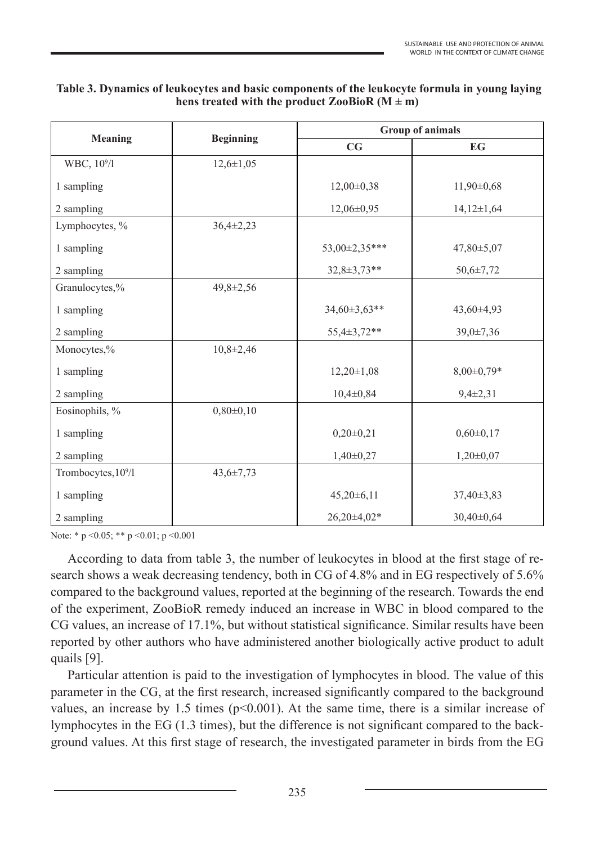| Table 3. Dynamics of leukocytes and basic components of the leukocyte formula in young laying |
|-----------------------------------------------------------------------------------------------|
| hens treated with the product $\text{ZooBioR} \left( M \pm m \right)$                         |

|                                 | <b>Beginning</b> | <b>Group of animals</b> |                  |  |
|---------------------------------|------------------|-------------------------|------------------|--|
| <b>Meaning</b>                  |                  | CG                      | <b>EG</b>        |  |
| WBC, 10 <sup>9</sup> /l         | $12,6 \pm 1,05$  |                         |                  |  |
| 1 sampling                      |                  | $12,00\pm0,38$          | $11,90\pm0,68$   |  |
| 2 sampling                      |                  | 12,06±0,95              | $14,12 \pm 1,64$ |  |
| Lymphocytes, %                  | $36,4\pm2,23$    |                         |                  |  |
| 1 sampling                      |                  | 53,00±2,35***           | $47,80 \pm 5,07$ |  |
| 2 sampling                      |                  | $32,8 \pm 3,73**$       | $50,6 \pm 7,72$  |  |
| Granulocytes,%                  | $49,8 \pm 2,56$  |                         |                  |  |
| 1 sampling                      |                  | $34,60\pm3,63**$        | $43,60\pm4,93$   |  |
| 2 sampling                      |                  | 55,4±3,72**             | 39,0±7,36        |  |
| Monocytes,%                     | $10,8 \pm 2,46$  |                         |                  |  |
| 1 sampling                      |                  | $12,20 \pm 1,08$        | $8,00\pm0,79*$   |  |
| 2 sampling                      |                  | $10,4\pm0,84$           | $9,4\pm 2,31$    |  |
| Eosinophils, %                  | $0,80\pm0,10$    |                         |                  |  |
| 1 sampling                      |                  | $0,20\pm0,21$           | $0,60\pm0,17$    |  |
| 2 sampling                      |                  | $1,40\pm0,27$           | $1,20\pm0,07$    |  |
| Trombocytes, 10 <sup>9</sup> /l | $43,6 \pm 7,73$  |                         |                  |  |
| 1 sampling                      |                  | $45,20\pm6,11$          | $37,40\pm3,83$   |  |
| 2 sampling                      |                  | $26,20\pm4,02*$         | $30,40\pm0.64$   |  |

Note: \* p < 0.05; \* \* p < 0.01; p < 0.001

According to data from table 3, the number of leukocytes in blood at the first stage of research shows a weak decreasing tendency, both in CG of 4.8% and in EG respectively of 5.6% compared to the background values, reported at the beginning of the research. Towards the end of the experiment, ZooBioR remedy induced an increase in WBC in blood compared to the CG values, an increase of 17.1%, but without statistical significance. Similar results have been reported by other authors who have administered another biologically active product to adult quails [9].

Particular attention is paid to the investigation of lymphocytes in blood. The value of this parameter in the CG, at the first research, increased significantly compared to the background values, an increase by 1.5 times ( $p<0.001$ ). At the same time, there is a similar increase of lymphocytes in the EG (1.3 times), but the difference is not significant compared to the background values. At this first stage of research, the investigated parameter in birds from the EG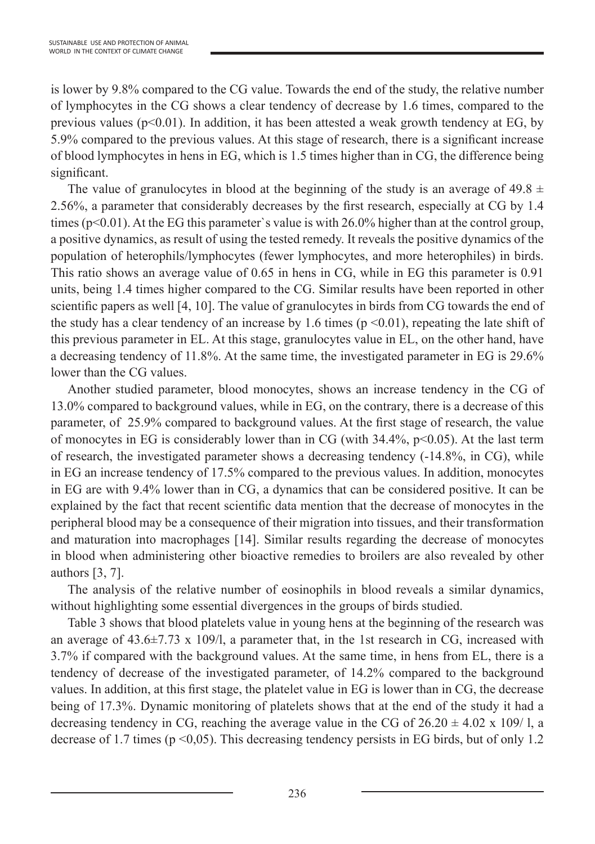is lower by 9.8% compared to the CG value. Towards the end of the study, the relative number of lymphocytes in the CG shows a clear tendency of decrease by 1.6 times, compared to the previous values ( $p<0.01$ ). In addition, it has been attested a weak growth tendency at EG, by 5.9% compared to the previous values. At this stage of research, there is a significant increase of blood lymphocytes in hens in EG, which is 1.5 times higher than in CG, the difference being significant.

The value of granulocytes in blood at the beginning of the study is an average of 49.8  $\pm$ 2.56%, a parameter that considerably decreases by the first research, especially at CG by 1.4 times ( $p<0.01$ ). At the EG this parameter's value is with 26.0% higher than at the control group, a positive dynamics, as result of using the tested remedy. It reveals the positive dynamics of the population of heterophils/lymphocytes (fewer lymphocytes, and more heterophiles) in birds. This ratio shows an average value of 0.65 in hens in CG, while in EG this parameter is 0.91 units, being 1.4 times higher compared to the CG. Similar results have been reported in other scientific papers as well [4, 10]. The value of granulocytes in birds from CG towards the end of the study has a clear tendency of an increase by 1.6 times ( $p \le 0.01$ ), repeating the late shift of this previous parameter in EL. At this stage, granulocytes value in EL, on the other hand, have a decreasing tendency of 11.8%. At the same time, the investigated parameter in EG is 29.6% lower than the CG values.

Another studied parameter, blood monocytes, shows an increase tendency in the CG of 13.0% compared to background values, while in EG, on the contrary, there is a decrease of this parameter, of 25.9% compared to background values. At the first stage of research, the value of monocytes in EG is considerably lower than in CG (with  $34.4\%$ , p<0.05). At the last term of research, the investigated parameter shows a decreasing tendency (-14.8%, in CG), while in EG an increase tendency of 17.5% compared to the previous values. In addition, monocytes in EG are with 9.4% lower than in CG, a dynamics that can be considered positive. It can be explained by the fact that recent scientific data mention that the decrease of monocytes in the peripheral blood may be a consequence of their migration into tissues, and their transformation and maturation into macrophages [14]. Similar results regarding the decrease of monocytes in blood when administering other bioactive remedies to broilers are also revealed by other authors [3, 7].

The analysis of the relative number of eosinophils in blood reveals a similar dynamics, without highlighting some essential divergences in the groups of birds studied.

Table 3 shows that blood platelets value in young hens at the beginning of the research was an average of  $43.6\pm7.73 \times 109/1$ , a parameter that, in the 1st research in CG, increased with 3.7% if compared with the background values. At the same time, in hens from EL, there is a tendency of decrease of the investigated parameter, of 14.2% compared to the background values. In addition, at this first stage, the platelet value in EG is lower than in CG, the decrease being of 17.3%. Dynamic monitoring of platelets shows that at the end of the study it had a decreasing tendency in CG, reaching the average value in the CG of  $26.20 \pm 4.02 \times 109/1$ , a decrease of 1.7 times ( $p \le 0.05$ ). This decreasing tendency persists in EG birds, but of only 1.2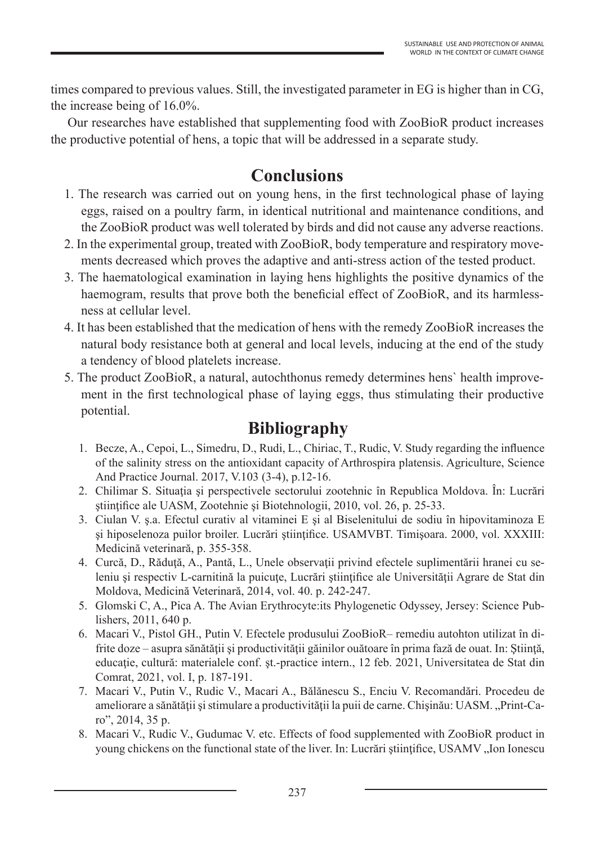times compared to previous values. Still, the investigated parameter in EG is higher than in CG, the increase being of 16.0%.

Our researches have established that supplementing food with ZooBioR product increases the productive potential of hens, a topic that will be addressed in a separate study.

## **Conclusions**

- 1. The research was carried out on young hens, in the first technological phase of laying eggs, raised on a poultry farm, in identical nutritional and maintenance conditions, and the ZooBioR product was well tolerated by birds and did not cause any adverse reactions.
- 2. In the experimental group, treated with ZooBioR, body temperature and respiratory movements decreased which proves the adaptive and anti-stress action of the tested product.
- 3. The haematological examination in laying hens highlights the positive dynamics of the haemogram, results that prove both the beneficial effect of ZooBioR, and its harmlessness at cellular level.
- 4. It has been established that the medication of hens with the remedy ZooBioR increases the natural body resistance both at general and local levels, inducing at the end of the study a tendency of blood platelets increase.
- 5. The product ZooBioR, a natural, autochthonus remedy determines hens` health improvement in the first technological phase of laying eggs, thus stimulating their productive potential.

#### **Bibliography**

- 1. Becze, A., Cepoi, L., Simedru, D., Rudi, L., Chiriac, T., Rudic, V. Study regarding the influence of the salinity stress on the antioxidant capacity of Arthrospira platensis. Agriculture, Science And Practice Journal. 2017, V.103 (3-4), p.12-16.
- 2. Chilimar S. Situatia și perspectivele sectorului zootehnic în Republica Moldova. În: Lucrări stiintifice ale UASM, Zootehnie și Biotehnologii, 2010, vol. 26, p. 25-33.
- 3. Ciulan V. ş.a. Efectul curativ al vitaminei E şi al Biselenitului de sodiu în hipovitaminoza E şi hiposelenoza puilor broiler. Lucrări ştiinţifice. USAMVBT. Timişoara. 2000, vol. XXXIII: Medicină veterinară, p. 355-358.
- 4. Curcă, D., Răduţă, A., Pantă, L., Unele observaţii privind efectele suplimentării hranei cu seleniu și respectiv L-carnitină la puicuțe, Lucrări științifice ale Universității Agrare de Stat din Moldova, Medicină Veterinară, 2014, vol. 40. p. 242-247.
- 5. Glomski C, A., Pica A. The Avian Erythrocyte:its Phylogenetic Odyssey, Jersey: Science Publishers, 2011, 640 p.
- 6. Macari V., Pistol GH., Putin V. Efectele produsului ZooBioR– remediu autohton utilizat în difrite doze – asupra sănătății și productivității găinilor ouătoare în prima fază de ouat. In: Știință, educație, cultură: materialele conf. șt.-practice intern., 12 feb. 2021, Universitatea de Stat din Comrat, 2021, vol. I, p. 187-191.
- 7. Macari V., Putin V., Rudic V., Macari A., Bălănescu S., Enciu V. Recomandări. Procedeu de ameliorare a sănătății și stimulare a productivității la puii de carne. Chișinău: UASM. "Print-Caro", 2014, 35 p.
- 8. Macari V., Rudic V., Gudumac V. etc. Effects of food supplemented with ZooBioR product in young chickens on the functional state of the liver. In: Lucrări științifice, USAMV "Ion Ionescu